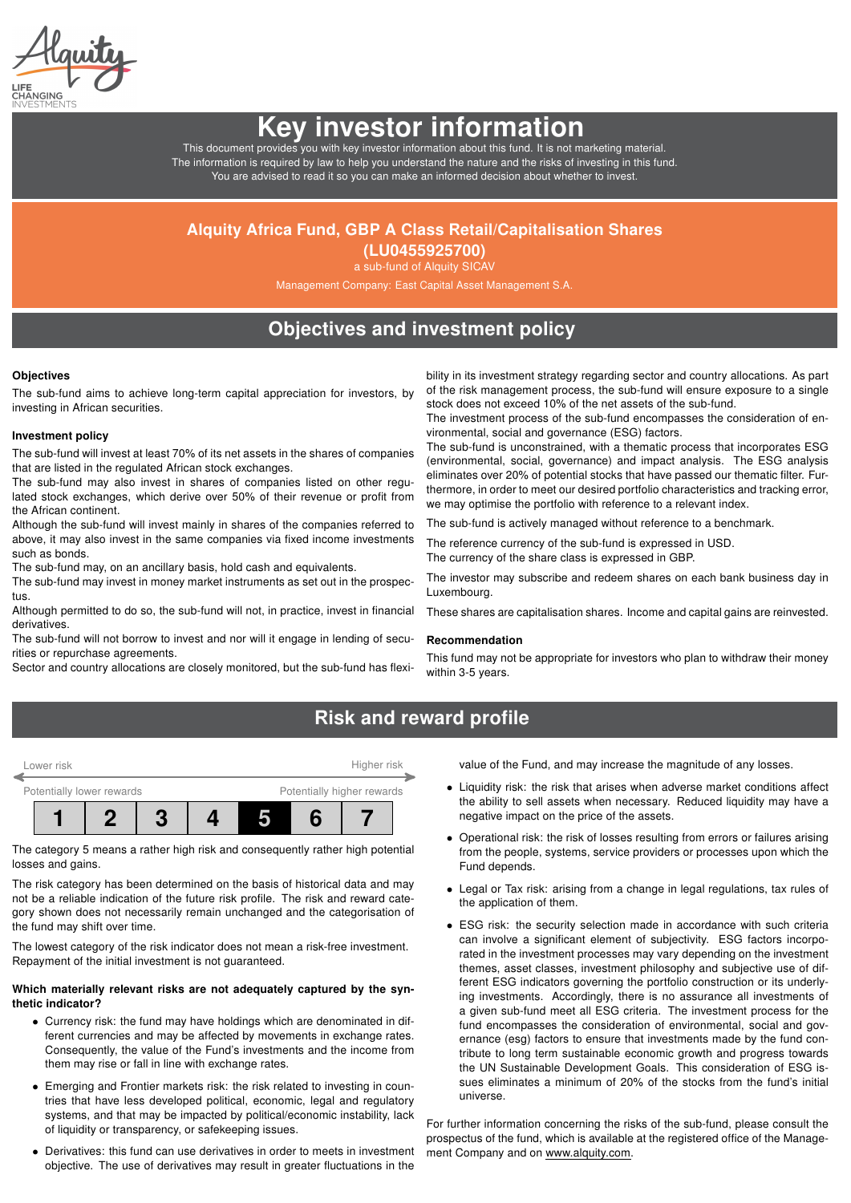# Key investor information

This document provides you with key investor information about this fund. It is not marketing material. The information is required by law to help you understand the nature and the risks of investing in this fund. You are advised to read it so you can make an informed decision about whether to invest.

### Alquity Africa Fund, GBP A Class Retail/Capitalisation Shares

(LU0455925700) a sub-fund of Alquity SICAV

Management Company: East Capital Asset Management S.A.

### Objectives and investment policy

#### **Objectives**

The sub-fund aims to achieve long-term capital appreciation for investors, by investing in African securities.

### Investment policy

The sub-fund will invest at least 70% of its net assets in the shares of companies that are listed in the regulated African stock exchanges.

The sub-fund may also invest in shares of companies listed on other regulated stock exchanges, which derive over 50% of their revenue or profit from the African continent.

Although the sub-fund will invest mainly in shares of the companies referred to above, it may also invest in the same companies via fixed income investments such as bonds.

The sub-fund may, on an ancillary basis, hold cash and equivalents.

The sub-fund may invest in money market instruments as set out in the prospectus.

Although permitted to do so, the sub-fund will not, in practice, invest in financial derivatives.

The sub-fund will not borrow to invest and nor will it engage in lending of securities or repurchase agreements.

Sector and country allocations are closely monitored, but the sub-fund has flexi-

bility in its investment strategy regarding sector and country allocations. As part of the risk management process, the sub-fund will ensure exposure to a single stock does not exceed 10% of the net assets of the sub-fund.

The investment process of the sub-fund encompasses the consideration of environmental, social and governance (ESG) factors.

The sub-fund is unconstrained, with a thematic process that incorporates ESG (environmental, social, governance) and impact analysis. The ESG analysis eliminates over 20% of potential stocks that have passed our thematic filter. Furthermore, in order to meet our desired portfolio characteristics and tracking error, we may optimise the portfolio with reference to a relevant index.

The sub-fund is actively managed without reference to a benchmark.

The reference currency of the sub-fund is expressed in USD.

The currency of the share class is expressed in GBP.

The investor may subscribe and redeem shares on each bank business day in Luxembourg.

These shares are capitalisation shares. Income and capital gains are reinvested.

#### Recommendation

This fund may not be appropriate for investors who plan to withdraw their money within 3-5 years.

### Risk and reward profile



The category 5 means a rather high risk and consequently rather high potential losses and gains.

The risk category has been determined on the basis of historical data and may not be a reliable indication of the future risk profile. The risk and reward category shown does not necessarily remain unchanged and the categorisation of the fund may shift over time.

The lowest category of the risk indicator does not mean a risk-free investment. Repayment of the initial investment is not guaranteed.

### Which materially relevant risks are not adequately captured by the synthetic indicator?

- Currency risk: the fund may have holdings which are denominated in different currencies and may be affected by movements in exchange rates. Consequently, the value of the Fund's investments and the income from them may rise or fall in line with exchange rates.
- Emerging and Frontier markets risk: the risk related to investing in countries that have less developed political, economic, legal and regulatory systems, and that may be impacted by political/economic instability, lack of liquidity or transparency, or safekeeping issues.
- Derivatives: this fund can use derivatives in order to meets in investment objective. The use of derivatives may result in greater fluctuations in the

value of the Fund, and may increase the magnitude of any losses.

- Liquidity risk: the risk that arises when adverse market conditions affect the ability to sell assets when necessary. Reduced liquidity may have a negative impact on the price of the assets.
- Operational risk: the risk of losses resulting from errors or failures arising from the people, systems, service providers or processes upon which the Fund depends.
- Legal or Tax risk: arising from a change in legal regulations, tax rules of the application of them.
- ESG risk: the security selection made in accordance with such criteria can involve a significant element of subjectivity. ESG factors incorporated in the investment processes may vary depending on the investment themes, asset classes, investment philosophy and subjective use of different ESG indicators governing the portfolio construction or its underlying investments. Accordingly, there is no assurance all investments of a given sub-fund meet all ESG criteria. The investment process for the fund encompasses the consideration of environmental, social and governance (esg) factors to ensure that investments made by the fund contribute to long term sustainable economic growth and progress towards the UN Sustainable Development Goals. This consideration of ESG issues eliminates a minimum of 20% of the stocks from the fund's initial universe.

For further information concerning the risks of the sub-fund, please consult the prospectus of the fund, which is available at the registered office of the Management Company and on [www.alquity.com.](http://www.alquity.com)